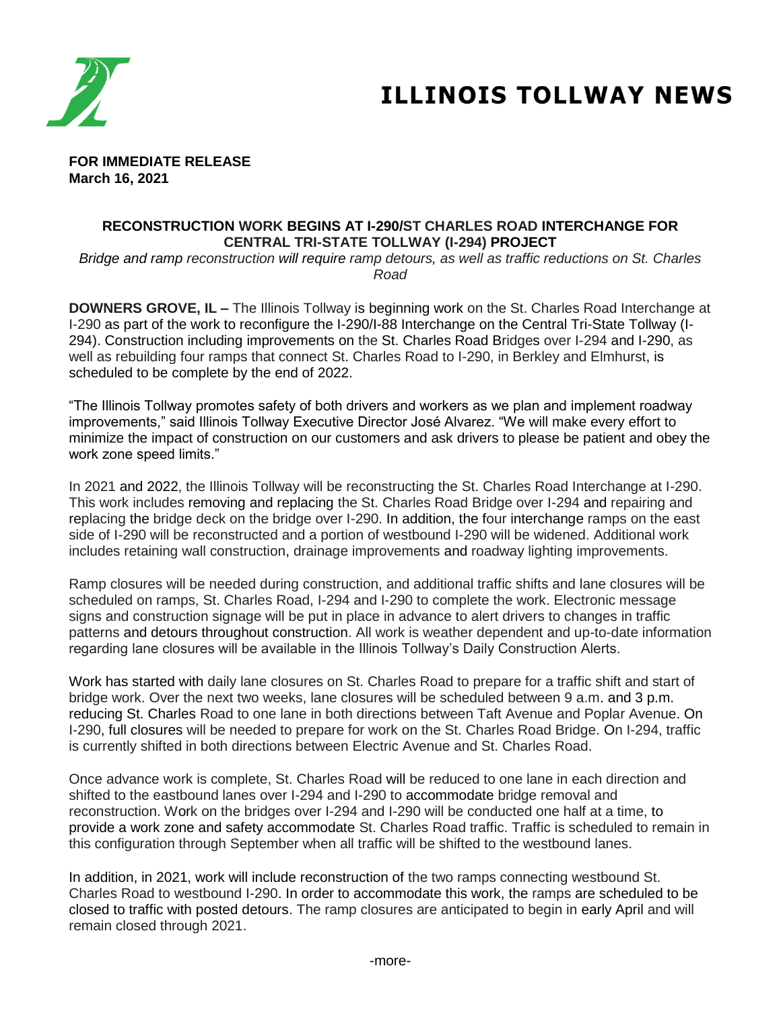

# **ILLINOIS TOLLWAY NEWS**

**FOR IMMEDIATE RELEASE March 16, 2021**

#### **RECONSTRUCTION WORK BEGINS AT I-290/ST CHARLES ROAD INTERCHANGE FOR CENTRAL TRI-STATE TOLLWAY (I-294) PROJECT**

*Bridge and ramp reconstruction will require ramp detours, as well as traffic reductions on St. Charles Road*

**DOWNERS GROVE, IL –** The Illinois Tollway is beginning work on the St. Charles Road Interchange at I-290 as part of the work to reconfigure the I-290/I-88 Interchange on the Central Tri-State Tollway (I-294). Construction including improvements on the St. Charles Road Bridges over I-294 and I-290, as well as rebuilding four ramps that connect St. Charles Road to I-290, in Berkley and Elmhurst, is scheduled to be complete by the end of 2022.

"The Illinois Tollway promotes safety of both drivers and workers as we plan and implement roadway improvements," said Illinois Tollway Executive Director José Alvarez. "We will make every effort to minimize the impact of construction on our customers and ask drivers to please be patient and obey the work zone speed limits."

In 2021 and 2022, the Illinois Tollway will be reconstructing the St. Charles Road Interchange at I-290. This work includes removing and replacing the St. Charles Road Bridge over I-294 and repairing and replacing the bridge deck on the bridge over I-290. In addition, the four interchange ramps on the east side of I-290 will be reconstructed and a portion of westbound I-290 will be widened. Additional work includes retaining wall construction, drainage improvements and roadway lighting improvements.

Ramp closures will be needed during construction, and additional traffic shifts and lane closures will be scheduled on ramps, St. Charles Road, I-294 and I-290 to complete the work. Electronic message signs and construction signage will be put in place in advance to alert drivers to changes in traffic patterns and detours throughout construction. All work is weather dependent and up-to-date information regarding lane closures will be available in the Illinois Tollway's Daily Construction Alerts.

Work has started with daily lane closures on St. Charles Road to prepare for a traffic shift and start of bridge work. Over the next two weeks, lane closures will be scheduled between 9 a.m. and 3 p.m. reducing St. Charles Road to one lane in both directions between Taft Avenue and Poplar Avenue. On I-290, full closures will be needed to prepare for work on the St. Charles Road Bridge. On I-294, traffic is currently shifted in both directions between Electric Avenue and St. Charles Road.

Once advance work is complete, St. Charles Road will be reduced to one lane in each direction and shifted to the eastbound lanes over I-294 and I-290 to accommodate bridge removal and reconstruction. Work on the bridges over I-294 and I-290 will be conducted one half at a time, to provide a work zone and safety accommodate St. Charles Road traffic. Traffic is scheduled to remain in this configuration through September when all traffic will be shifted to the westbound lanes.

In addition, in 2021, work will include reconstruction of the two ramps connecting westbound St. Charles Road to westbound I-290. In order to accommodate this work, the ramps are scheduled to be closed to traffic with posted detours. The ramp closures are anticipated to begin in early April and will remain closed through 2021.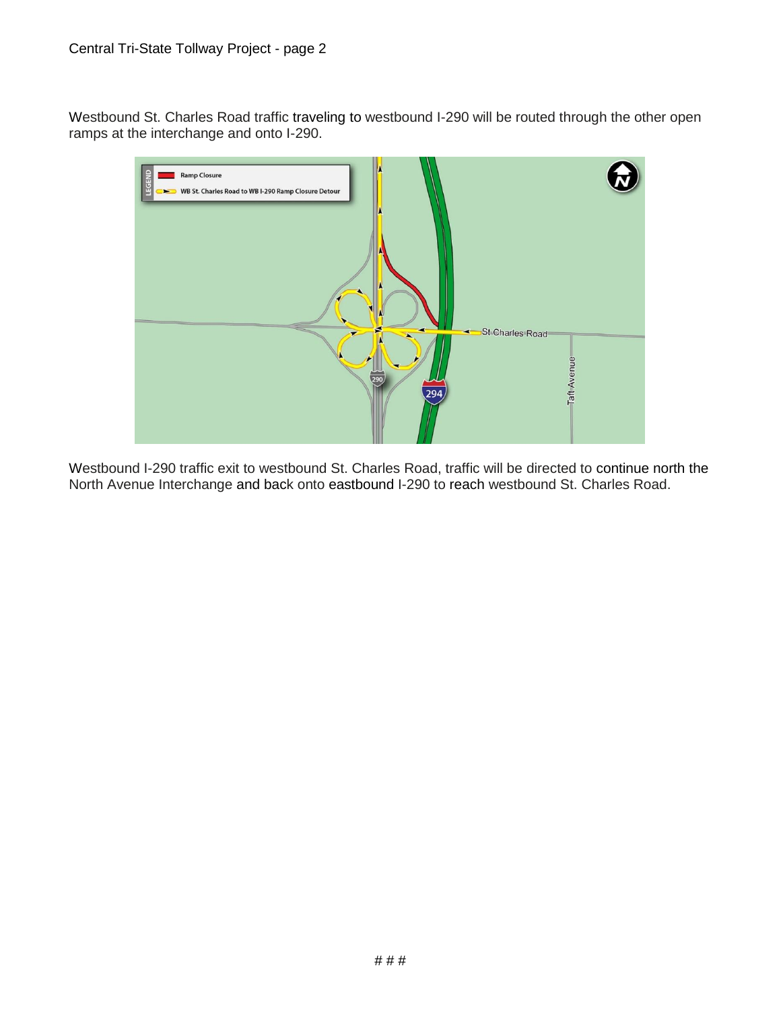Westbound St. Charles Road traffic traveling to westbound I-290 will be routed through the other open ramps at the interchange and onto I-290.



Westbound I-290 traffic exit to westbound St. Charles Road, traffic will be directed to continue north the North Avenue Interchange and back onto eastbound I-290 to reach westbound St. Charles Road.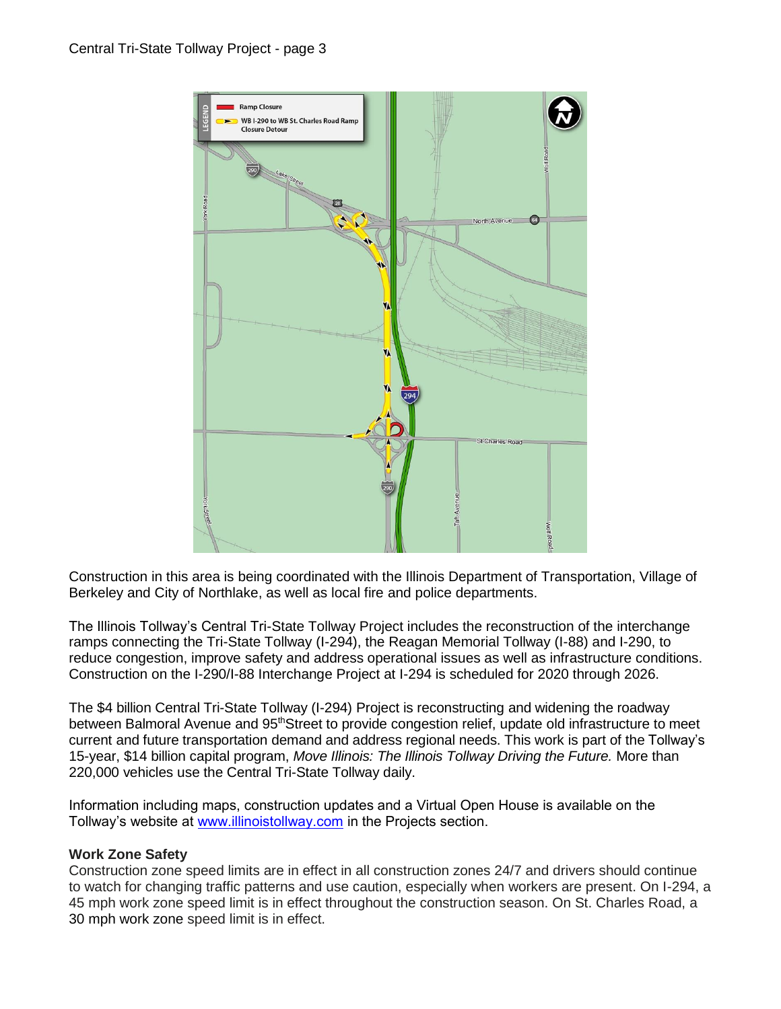

Construction in this area is being coordinated with the Illinois Department of Transportation, Village of Berkeley and City of Northlake, as well as local fire and police departments.

The Illinois Tollway's Central Tri-State Tollway Project includes the reconstruction of the interchange ramps connecting the Tri-State Tollway (I-294), the Reagan Memorial Tollway (I-88) and I-290, to reduce congestion, improve safety and address operational issues as well as infrastructure conditions. Construction on the I-290/I-88 Interchange Project at I-294 is scheduled for 2020 through 2026.

The \$4 billion Central Tri-State Tollway (I-294) Project is reconstructing and widening the roadway between Balmoral Avenue and 95thStreet to provide congestion relief, update old infrastructure to meet current and future transportation demand and address regional needs. This work is part of the Tollway's 15-year, \$14 billion capital program, *Move Illinois: The Illinois Tollway Driving the Future.* More than 220,000 vehicles use the Central Tri-State Tollway daily.

Information including maps, construction updates and a Virtual Open House is available on the Tollway's website at [www.illinoistollway.com](http://www.illinoistollway.com/) in the Projects section.

# **Work Zone Safety**

Construction zone speed limits are in effect in all construction zones 24/7 and drivers should continue to watch for changing traffic patterns and use caution, especially when workers are present. On I-294, a 45 mph work zone speed limit is in effect throughout the construction season. On St. Charles Road, a 30 mph work zone speed limit is in effect.